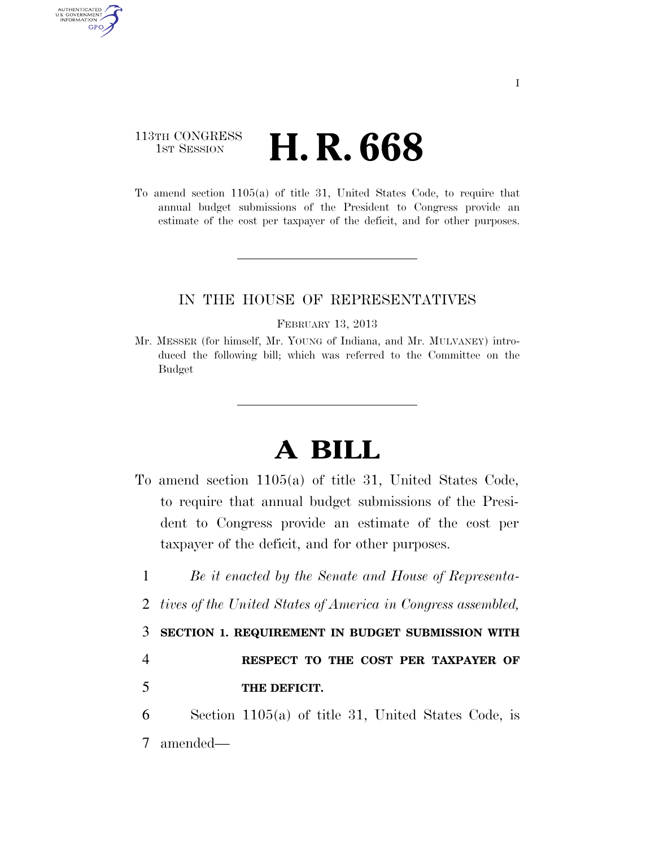## 113TH CONGRESS **HE CONGRESS H. R. 668**

AUTHENTICATED U.S. GOVERNMENT GPO

> To amend section 1105(a) of title 31, United States Code, to require that annual budget submissions of the President to Congress provide an estimate of the cost per taxpayer of the deficit, and for other purposes.

## IN THE HOUSE OF REPRESENTATIVES

## FEBRUARY 13, 2013

Mr. MESSER (for himself, Mr. YOUNG of Indiana, and Mr. MULVANEY) introduced the following bill; which was referred to the Committee on the Budget

## **A BILL**

- To amend section 1105(a) of title 31, United States Code, to require that annual budget submissions of the President to Congress provide an estimate of the cost per taxpayer of the deficit, and for other purposes.
	- 1 *Be it enacted by the Senate and House of Representa-*
	- 2 *tives of the United States of America in Congress assembled,*

3 **SECTION 1. REQUIREMENT IN BUDGET SUBMISSION WITH** 

4 **RESPECT TO THE COST PER TAXPAYER OF**  5 **THE DEFICIT.** 

6 Section 1105(a) of title 31, United States Code, is 7 amended—